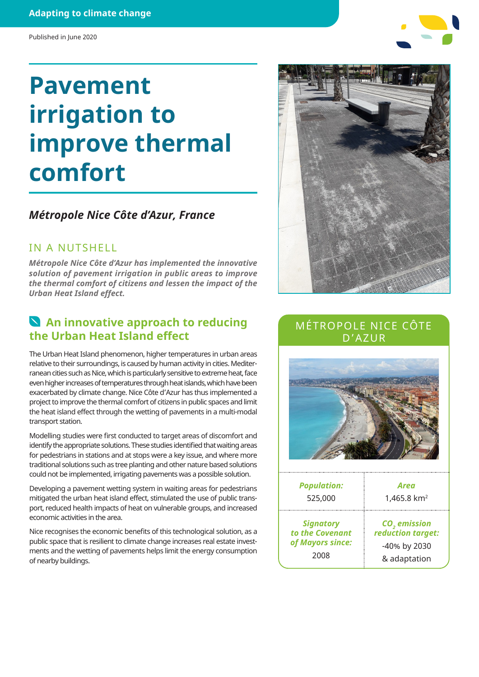### **Adapting to climate change**

#### Published in June 2020

# **Pavement irrigation to improve thermal comfort**

## *Métropole Nice Côte d'Azur, France*

### IN A NUTSHELL

*Métropole Nice Côte d'Azur has implemented the innovative solution of pavement irrigation in public areas to improve the thermal comfort of citizens and lessen the impact of the Urban Heat Island effect.*

# **An innovative approach to reducing the Urban Heat Island effect**

The Urban Heat Island phenomenon, higher temperatures in urban areas relative to their surroundings, is caused by human activity in cities. Mediterranean cities such as Nice, which is particularly sensitive to extreme heat, face even higher increases of temperatures through heat islands, which have been exacerbated by climate change. Nice Côte d'Azur has thus implemented a project to improve the thermal comfort of citizens in public spaces and limit the heat island effect through the wetting of pavements in a multi-modal transport station.

Modelling studies were first conducted to target areas of discomfort and identify the appropriate solutions. These studies identified that waiting areas for pedestrians in stations and at stops were a key issue, and where more traditional solutions such as tree planting and other nature based solutions could not be implemented, irrigating pavements was a possible solution.

Developing a pavement wetting system in waiting areas for pedestrians mitigated the urban heat island effect, stimulated the use of public transport, reduced health impacts of heat on vulnerable groups, and increased economic activities in the area.

Nice recognises the economic benefits of this technological solution, as a public space that is resilient to climate change increases real estate investments and the wetting of pavements helps limit the energy consumption of nearby buildings.